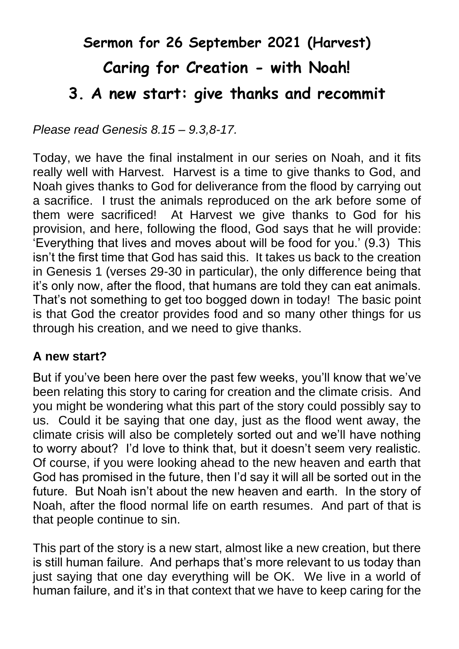# **Sermon for 26 September 2021 (Harvest) Caring for Creation - with Noah!**

## **3. A new start: give thanks and recommit**

*Please read Genesis 8.15 – 9.3,8-17.*

Today, we have the final instalment in our series on Noah, and it fits really well with Harvest. Harvest is a time to give thanks to God, and Noah gives thanks to God for deliverance from the flood by carrying out a sacrifice. I trust the animals reproduced on the ark before some of them were sacrificed! At Harvest we give thanks to God for his provision, and here, following the flood, God says that he will provide: 'Everything that lives and moves about will be food for you.' (9.3) This isn't the first time that God has said this. It takes us back to the creation in Genesis 1 (verses 29-30 in particular), the only difference being that it's only now, after the flood, that humans are told they can eat animals. That's not something to get too bogged down in today! The basic point is that God the creator provides food and so many other things for us through his creation, and we need to give thanks.

#### **A new start?**

But if you've been here over the past few weeks, you'll know that we've been relating this story to caring for creation and the climate crisis. And you might be wondering what this part of the story could possibly say to us. Could it be saying that one day, just as the flood went away, the climate crisis will also be completely sorted out and we'll have nothing to worry about? I'd love to think that, but it doesn't seem very realistic. Of course, if you were looking ahead to the new heaven and earth that God has promised in the future, then I'd say it will all be sorted out in the future. But Noah isn't about the new heaven and earth. In the story of Noah, after the flood normal life on earth resumes. And part of that is that people continue to sin.

This part of the story is a new start, almost like a new creation, but there is still human failure. And perhaps that's more relevant to us today than just saying that one day everything will be OK. We live in a world of human failure, and it's in that context that we have to keep caring for the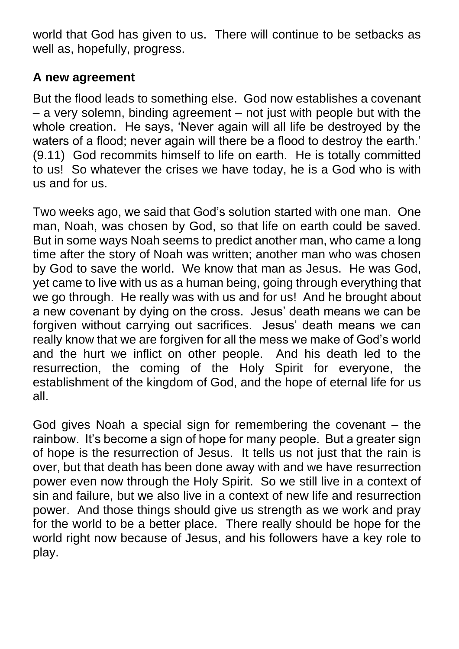world that God has given to us. There will continue to be setbacks as well as, hopefully, progress.

#### **A new agreement**

But the flood leads to something else. God now establishes a covenant  $-$  a very solemn, binding agreement  $-$  not just with people but with the whole creation. He says, 'Never again will all life be destroyed by the waters of a flood; never again will there be a flood to destroy the earth.' (9.11) God recommits himself to life on earth. He is totally committed to us! So whatever the crises we have today, he is a God who is with us and for us.

Two weeks ago, we said that God's solution started with one man. One man, Noah, was chosen by God, so that life on earth could be saved. But in some ways Noah seems to predict another man, who came a long time after the story of Noah was written; another man who was chosen by God to save the world. We know that man as Jesus. He was God, yet came to live with us as a human being, going through everything that we go through. He really was with us and for us! And he brought about a new covenant by dying on the cross. Jesus' death means we can be forgiven without carrying out sacrifices. Jesus' death means we can really know that we are forgiven for all the mess we make of God's world and the hurt we inflict on other people. And his death led to the resurrection, the coming of the Holy Spirit for everyone, the establishment of the kingdom of God, and the hope of eternal life for us all.

God gives Noah a special sign for remembering the covenant – the rainbow. It's become a sign of hope for many people. But a greater sign of hope is the resurrection of Jesus. It tells us not just that the rain is over, but that death has been done away with and we have resurrection power even now through the Holy Spirit. So we still live in a context of sin and failure, but we also live in a context of new life and resurrection power. And those things should give us strength as we work and pray for the world to be a better place. There really should be hope for the world right now because of Jesus, and his followers have a key role to play.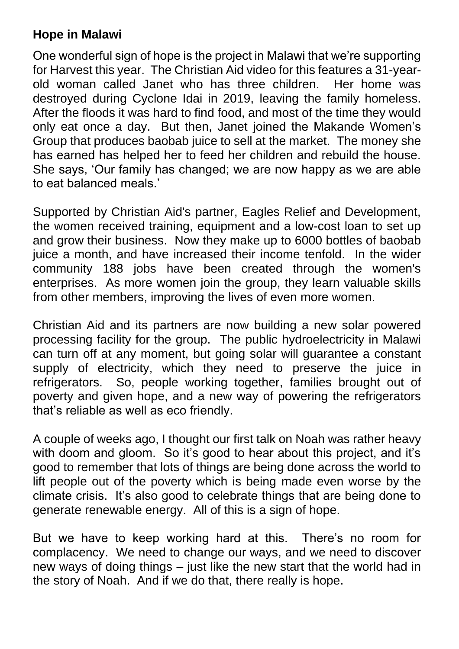### **Hope in Malawi**

One wonderful sign of hope is the project in Malawi that we're supporting for Harvest this year. The Christian Aid video for this features a 31-yearold woman called Janet who has three children. Her home was destroyed during Cyclone Idai in 2019, leaving the family homeless. After the floods it was hard to find food, and most of the time they would only eat once a day. But then, Janet joined the Makande Women's Group that produces baobab juice to sell at the market. The money she has earned has helped her to feed her children and rebuild the house. She says, 'Our family has changed; we are now happy as we are able to eat balanced meals.'

Supported by Christian Aid's partner, Eagles Relief and Development, the women received training, equipment and a low-cost loan to set up and grow their business. Now they make up to 6000 bottles of baobab juice a month, and have increased their income tenfold. In the wider community 188 jobs have been created through the women's enterprises. As more women join the group, they learn valuable skills from other members, improving the lives of even more women.

Christian Aid and its partners are now building a new solar powered processing facility for the group. The public hydroelectricity in Malawi can turn off at any moment, but going solar will guarantee a constant supply of electricity, which they need to preserve the juice in refrigerators. So, people working together, families brought out of poverty and given hope, and a new way of powering the refrigerators that's reliable as well as eco friendly.

A couple of weeks ago, I thought our first talk on Noah was rather heavy with doom and gloom. So it's good to hear about this project, and it's good to remember that lots of things are being done across the world to lift people out of the poverty which is being made even worse by the climate crisis. It's also good to celebrate things that are being done to generate renewable energy. All of this is a sign of hope.

But we have to keep working hard at this. There's no room for complacency. We need to change our ways, and we need to discover new ways of doing things – just like the new start that the world had in the story of Noah. And if we do that, there really is hope.